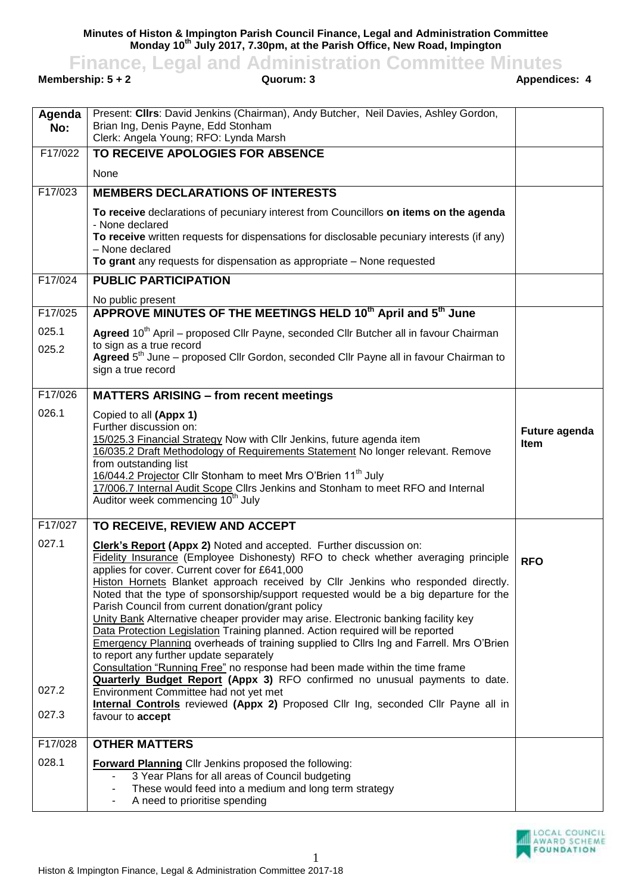**Minutes of Histon & Impington Parish Council Finance, Legal and Administration Committee Monday 10th July 2017, 7.30pm, at the Parish Office, New Road, Impington**

**Finance, Legal and Administration Committee Minutes**<br>**Appendices: 4**<br>**Appendices: 4**<br>**Appendices: 4** 

**Membership: 5 + 2** 

| Agenda<br>No: | Present: Clirs: David Jenkins (Chairman), Andy Butcher, Neil Davies, Ashley Gordon,<br>Brian Ing, Denis Payne, Edd Stonham<br>Clerk: Angela Young; RFO: Lynda Marsh                                                                                                                                                                                                                                                                                                                                                                                                                                                                                                                                                                                                                                                                                                                                                                  |                       |
|---------------|--------------------------------------------------------------------------------------------------------------------------------------------------------------------------------------------------------------------------------------------------------------------------------------------------------------------------------------------------------------------------------------------------------------------------------------------------------------------------------------------------------------------------------------------------------------------------------------------------------------------------------------------------------------------------------------------------------------------------------------------------------------------------------------------------------------------------------------------------------------------------------------------------------------------------------------|-----------------------|
| F17/022       | TO RECEIVE APOLOGIES FOR ABSENCE                                                                                                                                                                                                                                                                                                                                                                                                                                                                                                                                                                                                                                                                                                                                                                                                                                                                                                     |                       |
|               | None                                                                                                                                                                                                                                                                                                                                                                                                                                                                                                                                                                                                                                                                                                                                                                                                                                                                                                                                 |                       |
| F17/023       | <b>MEMBERS DECLARATIONS OF INTERESTS</b>                                                                                                                                                                                                                                                                                                                                                                                                                                                                                                                                                                                                                                                                                                                                                                                                                                                                                             |                       |
|               | To receive declarations of pecuniary interest from Councillors on items on the agenda<br>- None declared                                                                                                                                                                                                                                                                                                                                                                                                                                                                                                                                                                                                                                                                                                                                                                                                                             |                       |
|               | To receive written requests for dispensations for disclosable pecuniary interests (if any)<br>- None declared                                                                                                                                                                                                                                                                                                                                                                                                                                                                                                                                                                                                                                                                                                                                                                                                                        |                       |
|               | To grant any requests for dispensation as appropriate - None requested                                                                                                                                                                                                                                                                                                                                                                                                                                                                                                                                                                                                                                                                                                                                                                                                                                                               |                       |
| F17/024       | <b>PUBLIC PARTICIPATION</b>                                                                                                                                                                                                                                                                                                                                                                                                                                                                                                                                                                                                                                                                                                                                                                                                                                                                                                          |                       |
|               | No public present                                                                                                                                                                                                                                                                                                                                                                                                                                                                                                                                                                                                                                                                                                                                                                                                                                                                                                                    |                       |
| F17/025       | APPROVE MINUTES OF THE MEETINGS HELD 10 <sup>th</sup> April and 5 <sup>th</sup> June                                                                                                                                                                                                                                                                                                                                                                                                                                                                                                                                                                                                                                                                                                                                                                                                                                                 |                       |
| 025.1         | Agreed 10 <sup>th</sup> April – proposed Cllr Payne, seconded Cllr Butcher all in favour Chairman<br>to sign as a true record                                                                                                                                                                                                                                                                                                                                                                                                                                                                                                                                                                                                                                                                                                                                                                                                        |                       |
| 025.2         | Agreed 5 <sup>th</sup> June – proposed Cllr Gordon, seconded Cllr Payne all in favour Chairman to<br>sign a true record                                                                                                                                                                                                                                                                                                                                                                                                                                                                                                                                                                                                                                                                                                                                                                                                              |                       |
| F17/026       | <b>MATTERS ARISING - from recent meetings</b>                                                                                                                                                                                                                                                                                                                                                                                                                                                                                                                                                                                                                                                                                                                                                                                                                                                                                        |                       |
| 026.1         | Copied to all (Appx 1)<br>Further discussion on:<br>15/025.3 Financial Strategy Now with Cllr Jenkins, future agenda item<br>16/035.2 Draft Methodology of Requirements Statement No longer relevant. Remove<br>from outstanding list<br>16/044.2 Projector Cllr Stonham to meet Mrs O'Brien 11 <sup>th</sup> July<br>17/006.7 Internal Audit Scope Cllrs Jenkins and Stonham to meet RFO and Internal<br>Auditor week commencing 10 <sup>th</sup> July                                                                                                                                                                                                                                                                                                                                                                                                                                                                              | Future agenda<br>Item |
| F17/027       | TO RECEIVE, REVIEW AND ACCEPT                                                                                                                                                                                                                                                                                                                                                                                                                                                                                                                                                                                                                                                                                                                                                                                                                                                                                                        |                       |
| 027.1         | <b>Clerk's Report (Appx 2)</b> Noted and accepted. Further discussion on:<br>Fidelity Insurance (Employee Dishonesty) RFO to check whether averaging principle<br>applies for cover. Current cover for £641,000<br>Histon Hornets Blanket approach received by Cllr Jenkins who responded directly.<br>Noted that the type of sponsorship/support requested would be a big departure for the<br>Parish Council from current donation/grant policy<br>Unity Bank Alternative cheaper provider may arise. Electronic banking facility key<br>Data Protection Legislation Training planned. Action required will be reported<br>Emergency Planning overheads of training supplied to Cllrs Ing and Farrell. Mrs O'Brien<br>to report any further update separately<br>Consultation "Running Free" no response had been made within the time frame<br><b>Quarterly Budget Report (Appx 3)</b> RFO confirmed no unusual payments to date. | <b>RFO</b>            |
| 027.2         | Environment Committee had not yet met                                                                                                                                                                                                                                                                                                                                                                                                                                                                                                                                                                                                                                                                                                                                                                                                                                                                                                |                       |
| 027.3         | Internal Controls reviewed (Appx 2) Proposed Cllr Ing, seconded Cllr Payne all in<br>favour to <b>accept</b>                                                                                                                                                                                                                                                                                                                                                                                                                                                                                                                                                                                                                                                                                                                                                                                                                         |                       |
| F17/028       | <b>OTHER MATTERS</b>                                                                                                                                                                                                                                                                                                                                                                                                                                                                                                                                                                                                                                                                                                                                                                                                                                                                                                                 |                       |
| 028.1         | <b>Forward Planning Cllr Jenkins proposed the following:</b><br>3 Year Plans for all areas of Council budgeting<br>These would feed into a medium and long term strategy<br>A need to prioritise spending                                                                                                                                                                                                                                                                                                                                                                                                                                                                                                                                                                                                                                                                                                                            |                       |

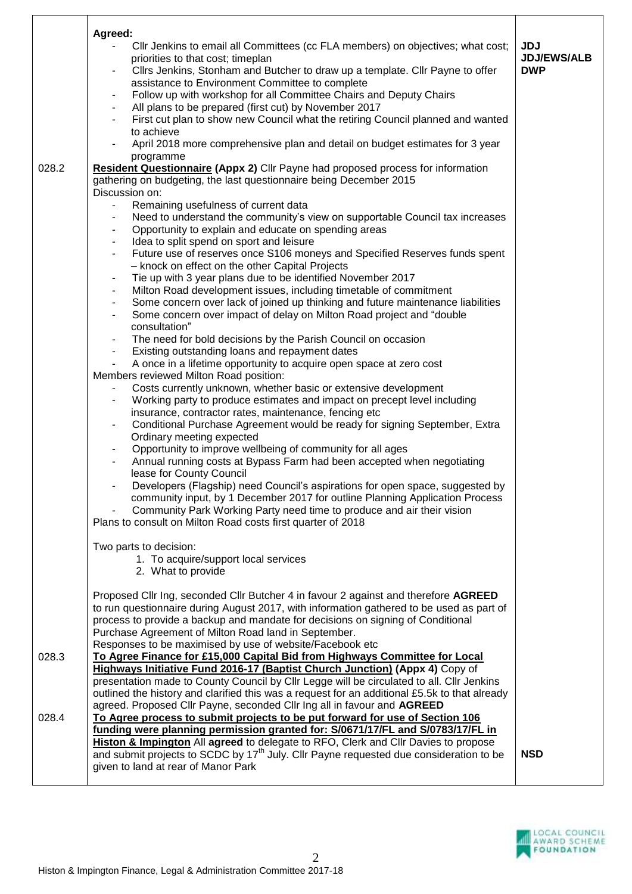| Agreed:<br>priorities to that cost; timeplan<br>to achieve<br>programme                                                                                                                                                     | CIIr Jenkins to email all Committees (cc FLA members) on objectives; what cost;<br>Cllrs Jenkins, Stonham and Butcher to draw up a template. Cllr Payne to offer<br>assistance to Environment Committee to complete<br>Follow up with workshop for all Committee Chairs and Deputy Chairs<br>All plans to be prepared (first cut) by November 2017<br>First cut plan to show new Council what the retiring Council planned and wanted<br>April 2018 more comprehensive plan and detail on budget estimates for 3 year                                                                                                                                                                                                                                                                                                                                                                                                                                                                                                                                                                                                                                                                                                                                                                                                                                                                                                                                                                                                                                                                                                                                                                                                                                                                               | <b>JDJ</b><br><b>JDJ/EWS/ALB</b><br><b>DWP</b> |
|-----------------------------------------------------------------------------------------------------------------------------------------------------------------------------------------------------------------------------|-----------------------------------------------------------------------------------------------------------------------------------------------------------------------------------------------------------------------------------------------------------------------------------------------------------------------------------------------------------------------------------------------------------------------------------------------------------------------------------------------------------------------------------------------------------------------------------------------------------------------------------------------------------------------------------------------------------------------------------------------------------------------------------------------------------------------------------------------------------------------------------------------------------------------------------------------------------------------------------------------------------------------------------------------------------------------------------------------------------------------------------------------------------------------------------------------------------------------------------------------------------------------------------------------------------------------------------------------------------------------------------------------------------------------------------------------------------------------------------------------------------------------------------------------------------------------------------------------------------------------------------------------------------------------------------------------------------------------------------------------------------------------------------------------------|------------------------------------------------|
| 028.2<br>Discussion on:<br>$\blacksquare$<br>$\blacksquare$<br>consultation"<br>Members reviewed Milton Road position:<br>$\blacksquare$<br>Ordinary meeting expected<br>lease for County Council<br>Two parts to decision: | <b>Resident Questionnaire (Appx 2)</b> Cllr Payne had proposed process for information<br>gathering on budgeting, the last questionnaire being December 2015<br>Remaining usefulness of current data<br>Need to understand the community's view on supportable Council tax increases<br>Opportunity to explain and educate on spending areas<br>Idea to split spend on sport and leisure<br>Future use of reserves once S106 moneys and Specified Reserves funds spent<br>- knock on effect on the other Capital Projects<br>Tie up with 3 year plans due to be identified November 2017<br>Milton Road development issues, including timetable of commitment<br>Some concern over lack of joined up thinking and future maintenance liabilities<br>Some concern over impact of delay on Milton Road project and "double"<br>The need for bold decisions by the Parish Council on occasion<br>Existing outstanding loans and repayment dates<br>A once in a lifetime opportunity to acquire open space at zero cost<br>Costs currently unknown, whether basic or extensive development<br>Working party to produce estimates and impact on precept level including<br>insurance, contractor rates, maintenance, fencing etc<br>Conditional Purchase Agreement would be ready for signing September, Extra<br>Opportunity to improve wellbeing of community for all ages<br>Annual running costs at Bypass Farm had been accepted when negotiating<br>Developers (Flagship) need Council's aspirations for open space, suggested by<br>community input, by 1 December 2017 for outline Planning Application Process<br>Community Park Working Party need time to produce and air their vision<br>Plans to consult on Milton Road costs first quarter of 2018<br>1. To acquire/support local services |                                                |
| 2. What to provide<br>028.3<br>028.4<br>given to land at rear of Manor Park                                                                                                                                                 | Proposed Cllr Ing, seconded Cllr Butcher 4 in favour 2 against and therefore AGREED<br>to run questionnaire during August 2017, with information gathered to be used as part of<br>process to provide a backup and mandate for decisions on signing of Conditional<br>Purchase Agreement of Milton Road land in September.<br>Responses to be maximised by use of website/Facebook etc<br>To Agree Finance for £15,000 Capital Bid from Highways Committee for Local<br><b>Highways Initiative Fund 2016-17 (Baptist Church Junction) (Appx 4) Copy of</b><br>presentation made to County Council by Cllr Legge will be circulated to all. Cllr Jenkins<br>outlined the history and clarified this was a request for an additional £5.5k to that already<br>agreed. Proposed Cllr Payne, seconded Cllr Ing all in favour and AGREED<br>To Agree process to submit projects to be put forward for use of Section 106<br>funding were planning permission granted for: S/0671/17/FL and S/0783/17/FL in<br>Histon & Impington All agreed to delegate to RFO, Clerk and Cllr Davies to propose<br>and submit projects to SCDC by 17 <sup>th</sup> July. Cllr Payne requested due consideration to be                                                                                                                                                                                                                                                                                                                                                                                                                                                                                                                                                                                                   | <b>NSD</b>                                     |